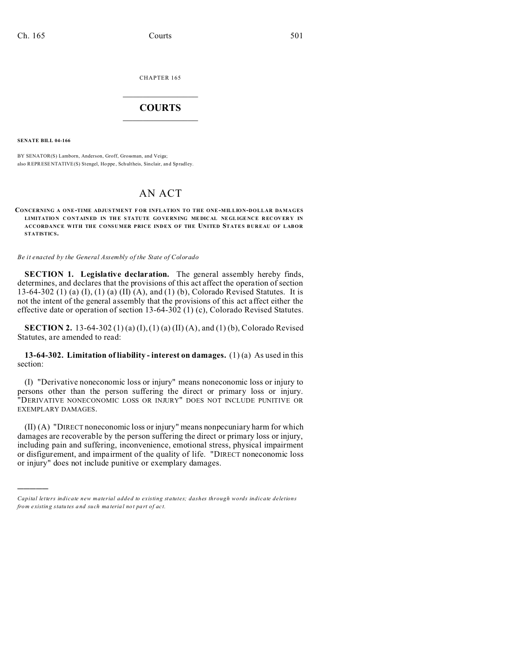CHAPTER 165  $\overline{\phantom{a}}$  , where  $\overline{\phantom{a}}$ 

## **COURTS**  $\_$

**SENATE BILL 04-166**

)))))

BY SENATOR(S) Lamborn, Anderson, Groff, Grossman, and Veiga; also REPRESENTATIVE(S) Stengel, Ho ppe , Schultheis, Sinclair, an d Spradley.

## AN ACT

**CONCERNING A ONE-TIME ADJUSTMENT F OR INFLATION TO THE ONE-MILLION-DOLLAR DAMAGES LIMITATION CONTAINED IN THE STATUTE GOVERNING MEDICAL NEGLIGENCE RECOVERY IN ACCORDANCE WITH THE CONSUMER PRICE INDEX OF THE UNITED STATES BUREAU OF LABOR STATISTICS.**

*Be it enacted by the General Assembly of the State of Colorado*

**SECTION 1. Legislative declaration.** The general assembly hereby finds, determines, and declares that the provisions of this act affect the operation of section 13-64-302 (1) (a) (I), (1) (a) (II) (A), and (1) (b), Colorado Revised Statutes. It is not the intent of the general assembly that the provisions of this act affect either the effective date or operation of section 13-64-302 (1) (c), Colorado Revised Statutes.

**SECTION 2.** 13-64-302 (1) (a) (I), (1) (a) (II) (A), and (1) (b), Colorado Revised Statutes, are amended to read:

**13-64-302. Limitation of liability - interest on damages.** (1) (a) As used in this section:

(I) "Derivative noneconomic loss or injury" means noneconomic loss or injury to persons other than the person suffering the direct or primary loss or injury. "DERIVATIVE NONECONOMIC LOSS OR INJURY" DOES NOT INCLUDE PUNITIVE OR EXEMPLARY DAMAGES.

(II) (A) "DIRECT noneconomic loss or injury" means nonpecuniary harm for which damages are recoverable by the person suffering the direct or primary loss or injury, including pain and suffering, inconvenience, emotional stress, physical impairment or disfigurement, and impairment of the quality of life. "DIRECT noneconomic loss or injury" does not include punitive or exemplary damages.

*Capital letters indicate new material added to existing statutes; dashes through words indicate deletions from e xistin g statu tes a nd such ma teria l no t pa rt of ac t.*